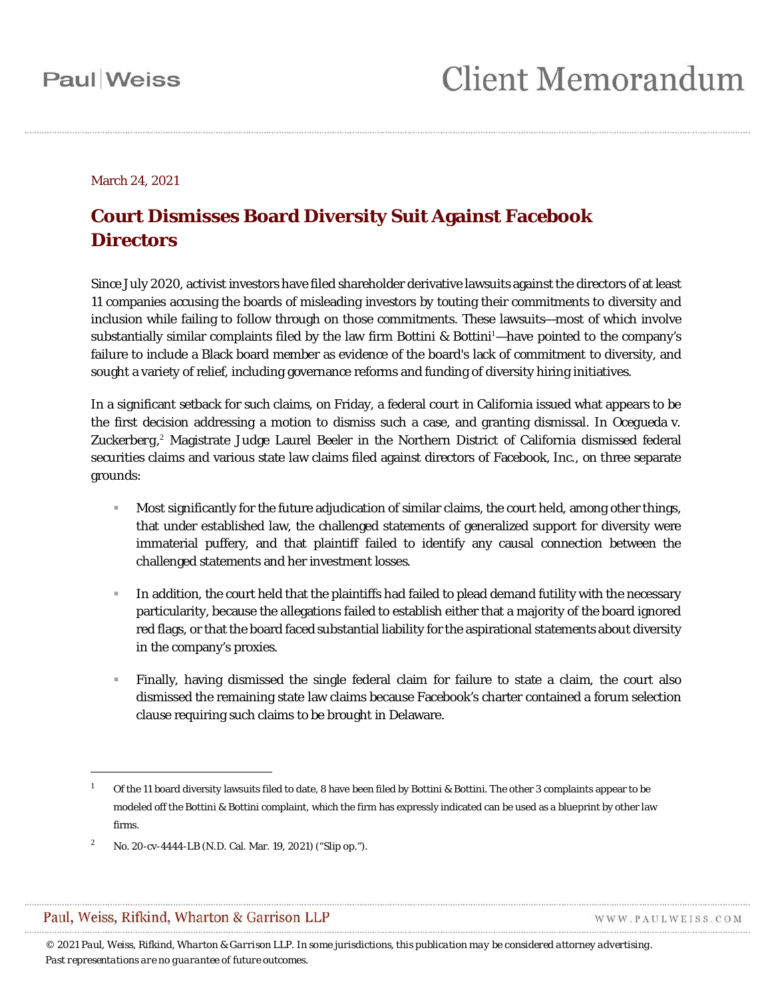March 24, 2021

### **Court Dismisses Board Diversity Suit Against Facebook Directors**

Since July 2020, activist investors have filed shareholder derivative lawsuits against the directors of at least 11 companies accusing the boards of misleading investors by touting their commitments to diversity and inclusion while failing to follow through on those commitments. These lawsuits—most of which involve substantially similar complaints filed by the law firm Bottini & Bottini<sup>[1](#page-0-0)</sup>—have pointed to the company's failure to include a Black board member as evidence of the board's lack of commitment to diversity, and sought a variety of relief, including governance reforms and funding of diversity hiring initiatives.

In a significant setback for such claims, on Friday, a federal court in California issued what appears to be the first decision addressing a motion to dismiss such a case, and granting dismissal. In *Ocegueda* v. Zuckerberg,<sup>[2](#page-0-1)</sup> Magistrate Judge Laurel Beeler in the Northern District of California dismissed federal securities claims and various state law claims filed against directors of Facebook, Inc., on three separate grounds:

- Most significantly for the future adjudication of similar claims, the court held, among other things, that under established law, the challenged statements of generalized support for diversity were immaterial puffery, and that plaintiff failed to identify any causal connection between the challenged statements and her investment losses.
- In addition, the court held that the plaintiffs had failed to plead demand futility with the necessary particularity, because the allegations failed to establish either that a majority of the board ignored red flags, or that the board faced substantial liability for the aspirational statements about diversity in the company's proxies.
- Finally, having dismissed the single federal claim for failure to state a claim, the court also dismissed the remaining state law claims because Facebook's charter contained a forum selection clause requiring such claims to be brought in Delaware.

### <span id="page-0-1"></span>Paul, Weiss, Rifkind, Wharton & Garrison LLP

 $\overline{a}$ 

WWW.PAULWEISS.COM

<span id="page-0-0"></span><sup>1</sup> Of the 11 board diversity lawsuits filed to date, 8 have been filed by Bottini & Bottini. The other 3 complaints appear to be modeled off the Bottini & Bottini complaint, which the firm has expressly indicated can be used as a blueprint by other law firms.

<sup>2</sup> No. 20-cv-4444-LB (N.D. Cal. Mar. 19, 2021) ("Slip op.").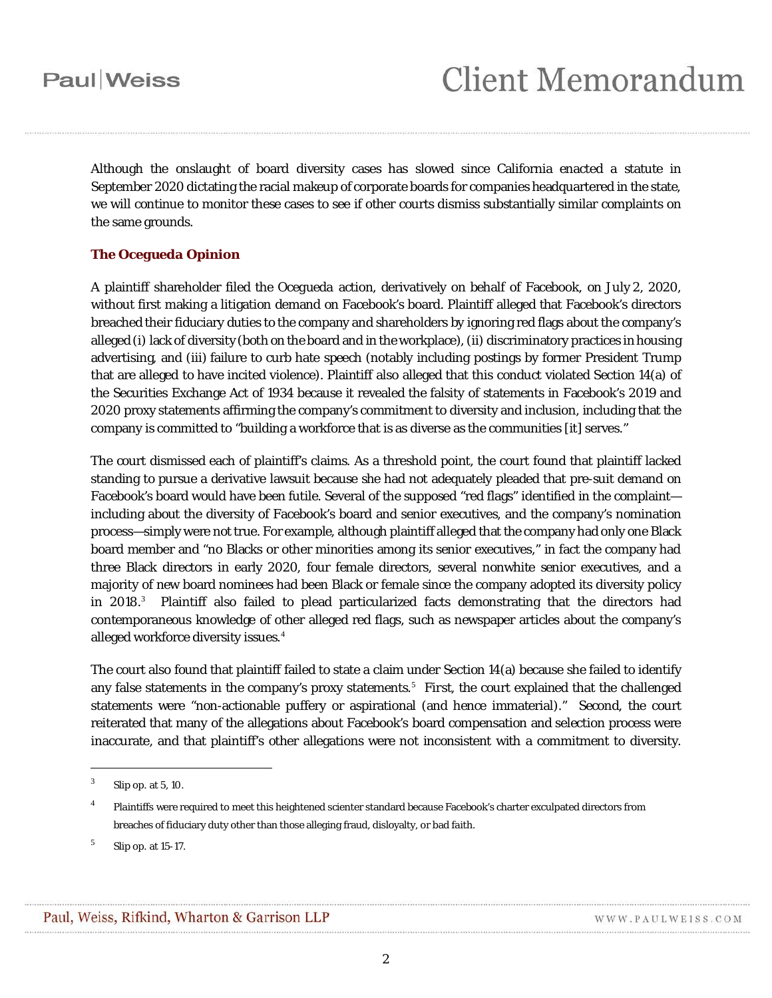Although the onslaught of board diversity cases has slowed since California enacted a statute in September 2020 dictating the racial makeup of corporate boards for companies headquartered in the state, we will continue to monitor these cases to see if other courts dismiss substantially similar complaints on the same grounds.

### **The** *Ocegueda* **Opinion**

A plaintiff shareholder filed the *Ocegueda* action, derivatively on behalf of Facebook, on July 2, 2020, without first making a litigation demand on Facebook's board. Plaintiff alleged that Facebook's directors breached their fiduciary duties to the company and shareholders by ignoring red flags about the company's alleged(i) lack of diversity (both on the board and in the workplace), (ii) discriminatory practices in housing advertising, and (iii) failure to curb hate speech (notably including postings by former President Trump that are alleged to have incited violence). Plaintiff also alleged that this conduct violated Section 14(a) of the Securities Exchange Act of 1934 because it revealed the falsity of statements in Facebook's 2019 and 2020 proxy statements affirming the company's commitment to diversity and inclusion, including that the company is committed to "building a workforce that is as diverse as the communities [it] serves."

The court dismissed each of plaintiff's claims. As a threshold point, the court found that plaintiff lacked standing to pursue a derivative lawsuit because she had not adequately pleaded that pre-suit demand on Facebook's board would have been futile. Several of the supposed "red flags" identified in the complaint including about the diversity of Facebook's board and senior executives, and the company's nomination process—simply were not true. For example, although plaintiff alleged that the company had only one Black board member and "no Blacks or other minorities among its senior executives," in fact the company had three Black directors in early 2020, four female directors, several nonwhite senior executives, and a majority of new board nominees had been Black or female since the company adopted its diversity policy in 2018.<sup>[3](#page-1-0)</sup> Plaintiff also failed to plead particularized facts demonstrating that the directors had contemporaneous knowledge of other alleged red flags, such as newspaper articles about the company's alleged workforce diversity issues.<sup>[4](#page-1-1)</sup>

The court also found that plaintiff failed to state a claim under Section 14(a) because she failed to identify any false statements in the company's proxy statements.<sup>[5](#page-1-2)</sup> First, the court explained that the challenged statements were "non-actionable puffery or aspirational (and hence immaterial)." *Second*, the court reiterated that many of the allegations about Facebook's board compensation and selection process were inaccurate, and that plaintiff's other allegations were not inconsistent with a commitment to diversity.

 $\overline{a}$ 

<span id="page-1-0"></span> $3$  Slip op. at 5, 10.

<span id="page-1-1"></span><sup>4</sup> Plaintiffs were required to meet this heightened scienter standard because Facebook's charter exculpated directors from breaches of fiduciary duty other than those alleging fraud, disloyalty, or bad faith.

<span id="page-1-2"></span><sup>5</sup> Slip op. at 15-17.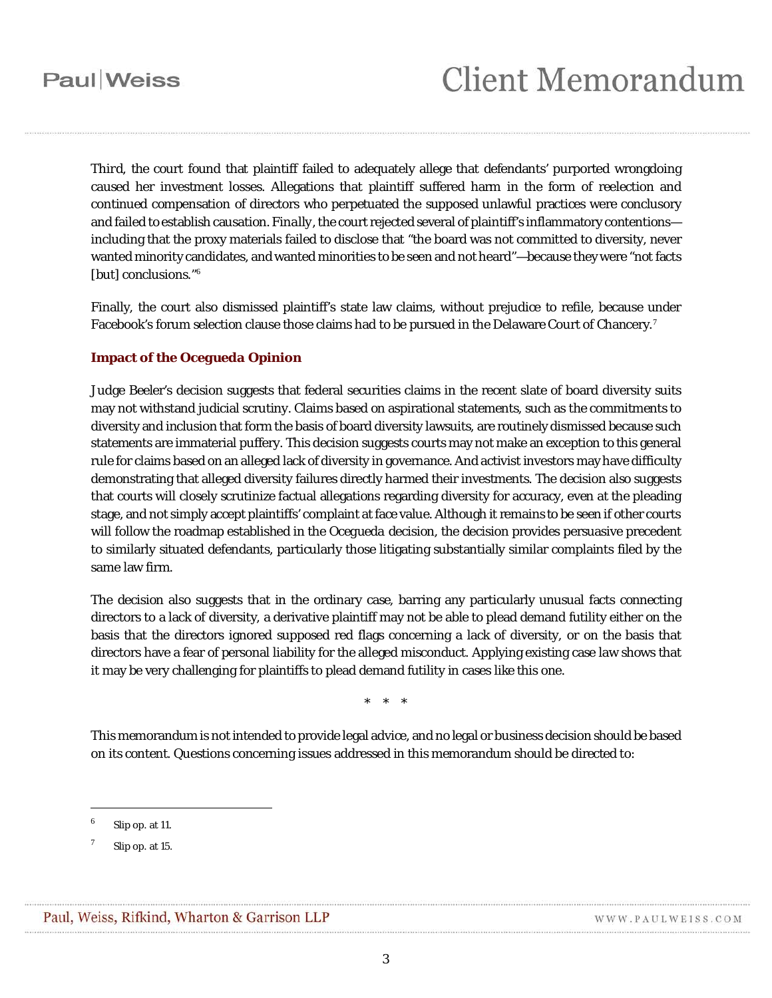## Paul Weiss

*Third*, the court found that plaintiff failed to adequately allege that defendants' purported wrongdoing caused her investment losses. Allegations that plaintiff suffered harm in the form of reelection and continued compensation of directors who perpetuated the supposed unlawful practices were conclusory and failed to establish causation. *Finally*, the court rejected several of plaintiff's inflammatory contentions including that the proxy materials failed to disclose that "the board was not committed to diversity, never wanted minority candidates, andwanted minorities to be seen and not heard"—because they were "not facts [but] conclusions."<sup>[6](#page-2-0)</sup>

Finally, the court also dismissed plaintiff's state law claims, without prejudice to refile, because under Facebook's forum selection clause those claims had to be pursued in the Delaware Court of Chancery.<sup>[7](#page-2-1)</sup>

#### **Impact of the** *Ocegueda* **Opinion**

Judge Beeler's decision suggests that federal securities claims in the recent slate of board diversity suits may not withstand judicial scrutiny. Claims based on aspirational statements, such as the commitments to diversity and inclusion that form the basis of board diversity lawsuits, are routinely dismissed because such statements are immaterial puffery. This decision suggests courts may not make an exception to this general rule for claims based on an alleged lack of diversity in governance. And activist investors may have difficulty demonstrating that alleged diversity failures directly harmed their investments. The decision also suggests that courts will closely scrutinize factual allegations regarding diversity for accuracy, even at the pleading stage, and not simply accept plaintiffs' complaint at face value. Although it remains to be seen if other courts will follow the roadmap established in the *Ocegueda* decision, the decision provides persuasive precedent to similarly situated defendants, particularly those litigating substantially similar complaints filed by the same law firm.

The decision also suggests that in the ordinary case, barring any particularly unusual facts connecting directors to a lack of diversity, a derivative plaintiff may not be able to plead demand futility either on the basis that the directors ignored supposed red flags concerning a lack of diversity, or on the basis that directors have a fear of personal liability for the alleged misconduct. Applying existing case law shows that it may be very challenging for plaintiffs to plead demand futility in cases like this one.

\* \* \*

This memorandum is not intended to provide legal advice, and no legal or business decision should be based on its content. Questions concerning issues addressed in this memorandum should be directed to:

 $\overline{a}$ 

<span id="page-2-0"></span>Slip op. at 11.

<span id="page-2-1"></span>Slip op. at 15.